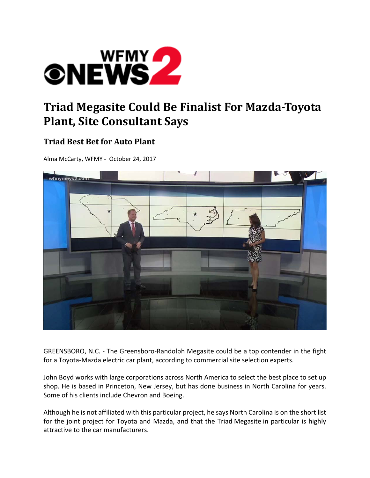

## **Triad Megasite Could Be Finalist For Mazda-Toyota Plant, Site Consultant Says**

## **Triad Best Bet for Auto Plant**

Alma McCarty, WFMY ‐ October 24, 2017



GREENSBORO, N.C. ‐ The Greensboro‐Randolph Megasite could be a top contender in the fight for a Toyota‐Mazda electric car plant, according to commercial site selection experts.

John Boyd works with large corporations across North America to select the best place to set up shop. He is based in Princeton, New Jersey, but has done business in North Carolina for years. Some of his clients include Chevron and Boeing.

Although he is not affiliated with this particular project, he says North Carolina is on the short list for the joint project for Toyota and Mazda, and that the Triad Megasite in particular is highly attractive to the car manufacturers.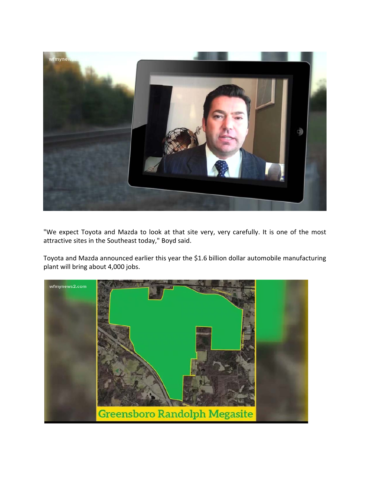

"We expect Toyota and Mazda to look at that site very, very carefully. It is one of the most attractive sites in the Southeast today," Boyd said.

Toyota and Mazda announced earlier this year the \$1.6 billion dollar automobile manufacturing plant will bring about 4,000 jobs.